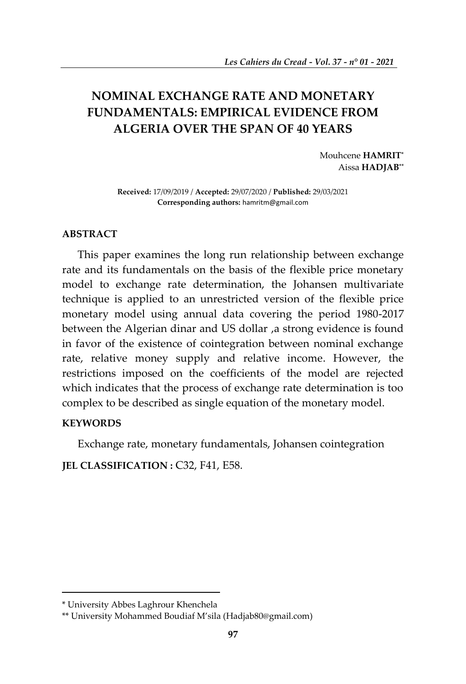# **NOMINAL EXCHANGE RATE AND MONETARY FUNDAMENTALS: EMPIRICAL EVIDENCE FROM ALGERIA OVER THE SPAN OF 40 YEARS**

Mouhcene **HAMRIT\*** Aissa **HADJAB\*\***

**Received:** 17/09/2019 / **Accepted:** 29/07/2020 / **Published:** 29/03/2021 **Corresponding authors:** [hamritm@gmail.com](mailto:hamritm@gmail.com)

# **ABSTRACT**

This paper examines the long run relationship between exchange rate and its fundamentals on the basis of the flexible price monetary model to exchange rate determination, the Johansen multivariate technique is applied to an unrestricted version of the flexible price monetary model using annual data covering the period 1980-2017 between the Algerian dinar and US dollar ,a strong evidence is found in favor of the existence of cointegration between nominal exchange rate, relative money supply and relative income. However, the restrictions imposed on the coefficients of the model are rejected which indicates that the process of exchange rate determination is too complex to be described as single equation of the monetary model.

## **KEYWORDS**

**.** 

Exchange rate, monetary fundamentals, Johansen cointegration

**JEL CLASSIFICATION :** C32, F41, E58.

<sup>\*</sup> University Abbes Laghrour Khenchela

<sup>\*\*</sup> University Mohammed Boudiaf M'sila ([Hadjab80@gmail.com\)](mailto:Hadjab80@gmail.com)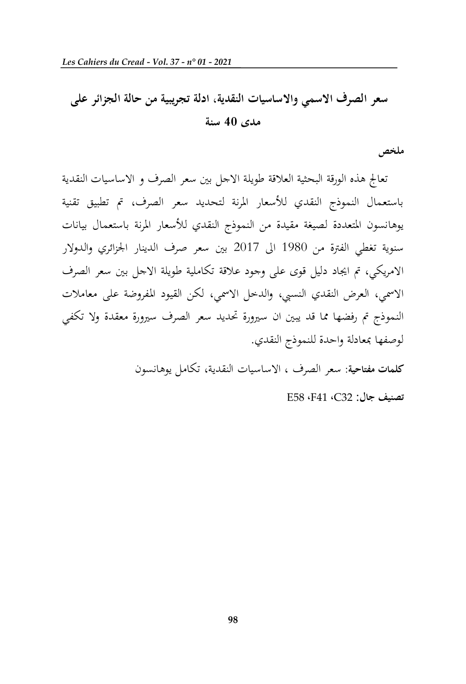# **سعر الصرف االسمي و االساسيات النقدية، ادلة تجريبية من حالة الجزائر على مدى 04 سنة**

**ملخص**

تعاجل هذه الورقة البحثية العالقة طويلة االجل بني سعر الصرف و االساسيات النقدية باستعمال النموذج النقدي لألسعار املرنة لتحديد سعر الصرف، مت تطبيق تقنية يوهانسون املتعددة لصيغة مقيدة من النموذج النقدي لألسعار املرنة باستعمال بيانات سنوية تغطي الفترة من 1980 الى 2017 بين سعر صرف الدينار الجزائري والدولار االمريكي، مت اجياد دليل قوى على وجود عالقة تكاملية طويلة االجل بني سعر الصرف االمسي، العرض النقدي النسيب، والدخل االمسي، لكن القيود املفروضة على معامالت النموذج مت رفضها مما قد يبني ان سريورة حتديد سعر الصرف سريورة معقدة وال تكفي لوصفها مبعادلة واحدة للنموذج النقدي.

**كلمات مفتاحية:** سعر الصرف ، االساسيات النقدية، تكامل يوهانسون

E58 ،F41 ،C32 :**جال تصنيف**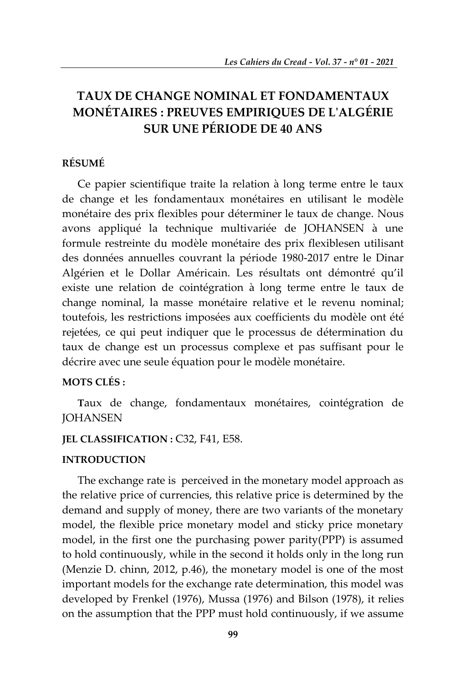# **TAUX DE CHANGE NOMINAL ET FONDAMENTAUX MONÉTAIRES : PREUVES EMPIRIQUES DE L'ALGÉRIE SUR UNE PÉRIODE DE 40 ANS**

# **RÉSUMÉ**

Ce papier scientifique traite la relation à long terme entre le taux de change et les fondamentaux monétaires en utilisant le modèle monétaire des prix flexibles pour déterminer le taux de change. Nous avons appliqué la technique multivariée de JOHANSEN à une formule restreinte du modèle monétaire des prix flexiblesen utilisant des données annuelles couvrant la période 1980-2017 entre le Dinar Algérien et le Dollar Américain. Les résultats ont démontré qu'il existe une relation de cointégration à long terme entre le taux de change nominal, la masse monétaire relative et le revenu nominal; toutefois, les restrictions imposées aux coefficients du modèle ont été rejetées, ce qui peut indiquer que le processus de détermination du taux de change est un processus complexe et pas suffisant pour le décrire avec une seule équation pour le modèle monétaire.

# **MOTS CLÉS :**

**T**aux de change, fondamentaux monétaires, cointégration de **JOHANSEN** 

## **JEL CLASSIFICATION :** C32, F41, E58.

#### **INTRODUCTION**

The exchange rate is perceived in the monetary model approach as the relative price of currencies, this relative price is determined by the demand and supply of money, there are two variants of the monetary model, the flexible price monetary model and sticky price monetary model, in the first one the purchasing power parity(PPP) is assumed to hold continuously, while in the second it holds only in the long run (Menzie D. chinn, 2012, p.46), the monetary model is one of the most important models for the exchange rate determination, this model was developed by Frenkel (1976), Mussa (1976) and Bilson (1978), it relies on the assumption that the PPP must hold continuously, if we assume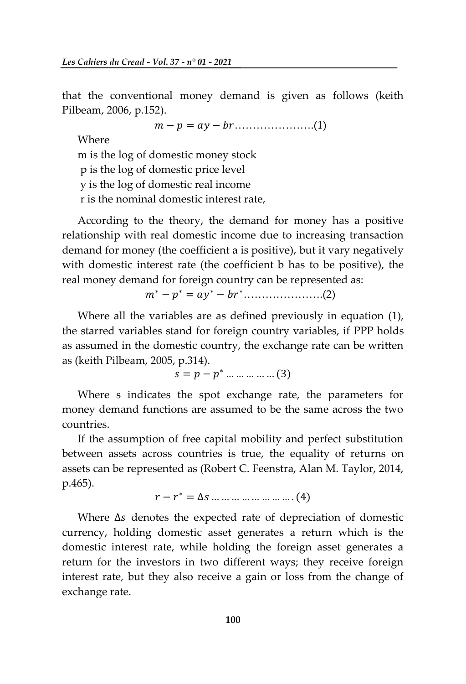that the conventional money demand is given as follows (keith Pilbeam, 2006, p.152).

………………….(1)

Where

m is the log of domestic money stock p is the log of domestic price level y is the log of domestic real income r is the nominal domestic interest rate,

According to the theory, the demand for money has a positive relationship with real domestic income due to increasing transaction demand for money (the coefficient a is positive), but it vary negatively with domestic interest rate (the coefficient b has to be positive), the real money demand for foreign country can be represented as:

 $m^* - p^* = ay^* - br^* \dots$  (2)

Where all the variables are as defined previously in equation (1), the starred variables stand for foreign country variables, if PPP holds as assumed in the domestic country, the exchange rate can be written as (keith Pilbeam, 2005, p.314).

 $s = p - p^*$ 

Where s indicates the spot exchange rate, the parameters for money demand functions are assumed to be the same across the two countries.

If the assumption of free capital mobility and perfect substitution between assets across countries is true, the equality of returns on assets can be represented as (Robert C. Feenstra, Alan M. Taylor, 2014, p.465).

 $r-r^*$ 

Where  $\Delta s$  denotes the expected rate of depreciation of domestic currency, holding domestic asset generates a return which is the domestic interest rate, while holding the foreign asset generates a return for the investors in two different ways; they receive foreign interest rate, but they also receive a gain or loss from the change of exchange rate.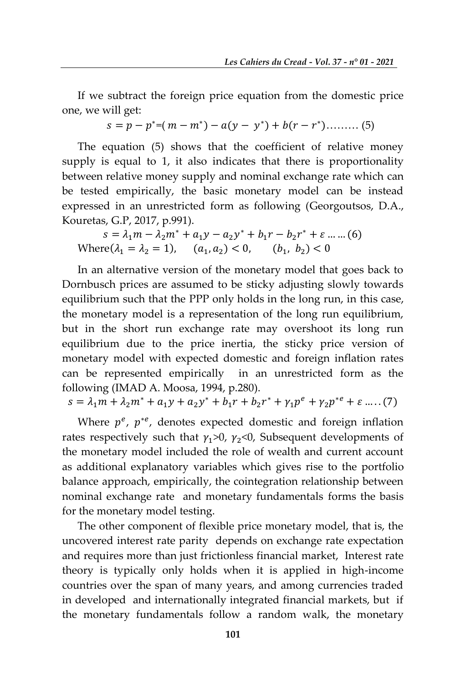If we subtract the foreign price equation from the domestic price one, we will get:

$$
s = p - p^* = (m - m^*) - a(y - y^*) + b(r - r^*) \dots \dots \dots \tag{5}
$$

The equation (5) shows that the coefficient of relative money supply is equal to 1, it also indicates that there is proportionality between relative money supply and nominal exchange rate which can be tested empirically, the basic monetary model can be instead expressed in an unrestricted form as following (Georgoutsos, D.A., Kouretas, G.P, 2017, p.991).

$$
s = \lambda_1 m - \lambda_2 m^* + a_1 y - a_2 y^* + b_1 r - b_2 r^* + \varepsilon \dots \dots (6)
$$
  
Where( $\lambda_1 = \lambda_2 = 1$ ), ( $a_1, a_2$ ) < 0, ( $b_1, b_2$ ) < 0

In an alternative version of the monetary model that goes back to Dornbusch prices are assumed to be sticky adjusting slowly towards equilibrium such that the PPP only holds in the long run, in this case, the monetary model is a representation of the long run equilibrium, but in the short run exchange rate may overshoot its long run equilibrium due to the price inertia, the sticky price version of monetary model with expected domestic and foreign inflation rates can be represented empirically in an unrestricted form as the following (IMAD A. Moosa, 1994, p.280).

$$
s = \lambda_1 m + \lambda_2 m^* + a_1 y + a_2 y^* + b_1 r + b_2 r^* + \gamma_1 p^e + \gamma_2 p^{e} + \varepsilon \dots (7)
$$

Where  $p^e$ ,  $p^{*e}$ , denotes expected domestic and foreign inflation rates respectively such that  $\gamma_1$ >0,  $\gamma_2$ <0, Subsequent developments of the monetary model included the role of wealth and current account as additional explanatory variables which gives rise to the portfolio balance approach, empirically, the cointegration relationship between nominal exchange rate and monetary fundamentals forms the basis for the monetary model testing.

The other component of flexible price monetary model, that is, the uncovered interest rate parity depends on exchange rate expectation and requires more than just frictionless financial market, Interest rate theory is typically only holds when it is applied in high-income countries over the span of many years, and among currencies traded in developed and internationally integrated financial markets, but if the monetary fundamentals follow a random walk, the monetary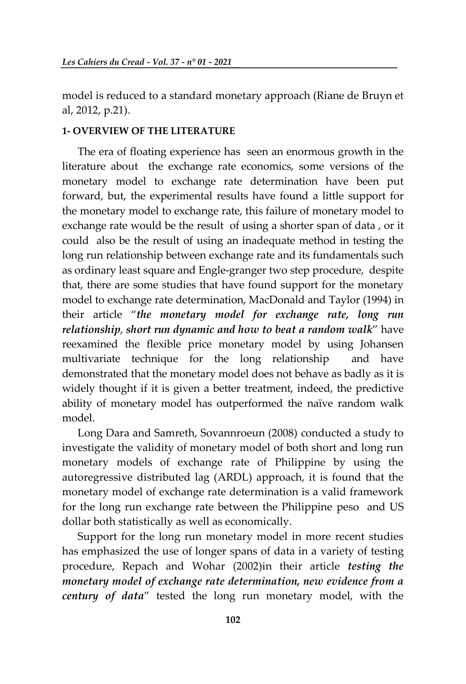model is reduced to a standard monetary approach (Riane de Bruyn et al, 2012, p.21).

#### **1- OVERVIEW OF THE LITERATURE**

The era of floating experience has seen an enormous growth in the literature about the exchange rate economics, some versions of the monetary model to exchange rate determination have been put forward, but, the experimental results have found a little support for the monetary model to exchange rate, this failure of monetary model to exchange rate would be the result of using a shorter span of data , or it could also be the result of using an inadequate method in testing the long run relationship between exchange rate and its fundamentals such as ordinary least square and Engle-granger two step procedure, despite that, there are some studies that have found support for the monetary model to exchange rate determination, MacDonald and Taylor (1994) in their article '*the monetary model for exchange rate, long run relationship*, *short run dynamic and how to beat a random walk*' have reexamined the flexible price monetary model by using Johansen multivariate technique for the long relationship and have demonstrated that the monetary model does not behave as badly as it is widely thought if it is given a better treatment, indeed, the predictive ability of monetary model has outperformed the naïve random walk model.

Long Dara and Samreth, Sovannroeun (2008) conducted a study to investigate the validity of monetary model of both short and long run monetary models of exchange rate of Philippine by using the autoregressive distributed lag (ARDL) approach, it is found that the monetary model of exchange rate determination is a valid framework for the long run exchange rate between the Philippine peso and US dollar both statistically as well as economically.

Support for the long run monetary model in more recent studies has emphasized the use of longer spans of data in a variety of testing procedure, Repach and Wohar (2002)in their article *testing the monetary model of exchange rate determination, new evidence from a century of data*' tested the long run monetary model, with the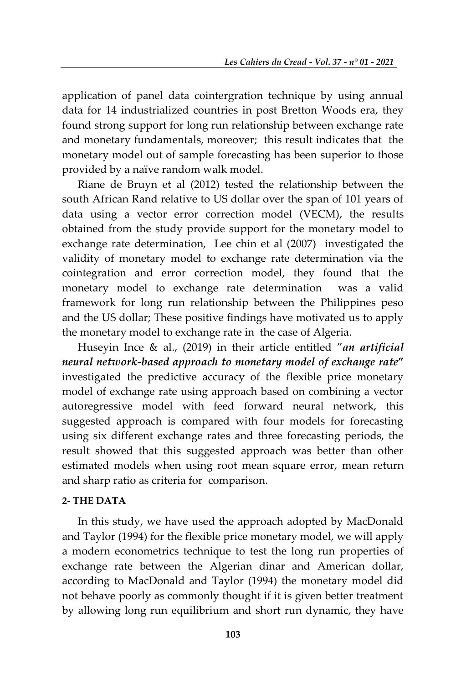application of panel data cointergration technique by using annual data for 14 industrialized countries in post Bretton Woods era, they found strong support for long run relationship between exchange rate and monetary fundamentals, moreover; this result indicates that the monetary model out of sample forecasting has been superior to those provided by a naïve random walk model.

Riane de Bruyn et al (2012) tested the relationship between the south African Rand relative to US dollar over the span of 101 years of data using a vector error correction model (VECM), the results obtained from the study provide support for the monetary model to exchange rate determination, Lee chin et al (2007) investigated the validity of monetary model to exchange rate determination via the cointegration and error correction model, they found that the monetary model to exchange rate determination was a valid framework for long run relationship between the Philippines peso and the US dollar; These positive findings have motivated us to apply the monetary model to exchange rate in the case of Algeria.

Huseyin Ince & al., (2019) in their article entitled '*an artificial neural network-based approach to monetary model of exchange rate***"** investigated the predictive accuracy of the flexible price monetary model of exchange rate using approach based on combining a vector autoregressive model with feed forward neural network, this suggested approach is compared with four models for forecasting using six different exchange rates and three forecasting periods, the result showed that this suggested approach was better than other estimated models when using root mean square error, mean return and sharp ratio as criteria for comparison.

# **2- THE DATA**

In this study, we have used the approach adopted by MacDonald and Taylor (1994) for the flexible price monetary model, we will apply a modern econometrics technique to test the long run properties of exchange rate between the Algerian dinar and American dollar, according to MacDonald and Taylor (1994) the monetary model did not behave poorly as commonly thought if it is given better treatment by allowing long run equilibrium and short run dynamic, they have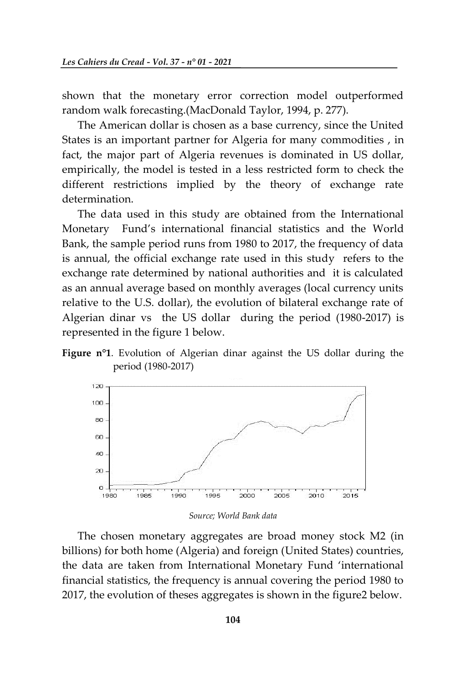shown that the monetary error correction model outperformed random walk forecasting.(MacDonald Taylor, 1994, p. 277).

The American dollar is chosen as a base currency, since the United States is an important partner for Algeria for many commodities , in fact, the major part of Algeria revenues is dominated in US dollar, empirically, the model is tested in a less restricted form to check the different restrictions implied by the theory of exchange rate determination.

The data used in this study are obtained from the International Monetary Fund's international financial statistics and the World Bank, the sample period runs from 1980 to 2017, the frequency of data is annual, the official exchange rate used in this study refers to the exchange rate determined by national authorities and it is calculated as an annual average based on monthly averages (local currency units relative to the U.S. dollar), the evolution of bilateral exchange rate of Algerian dinar vs the US dollar during the period (1980-2017) is represented in the figure 1 below.





*Source; World Bank data*

The chosen monetary aggregates are broad money stock M2 (in billions) for both home (Algeria) and foreign (United States) countries, the data are taken from International Monetary Fund 'international financial statistics, the frequency is annual covering the period 1980 to 2017, the evolution of theses aggregates is shown in the figure2 below.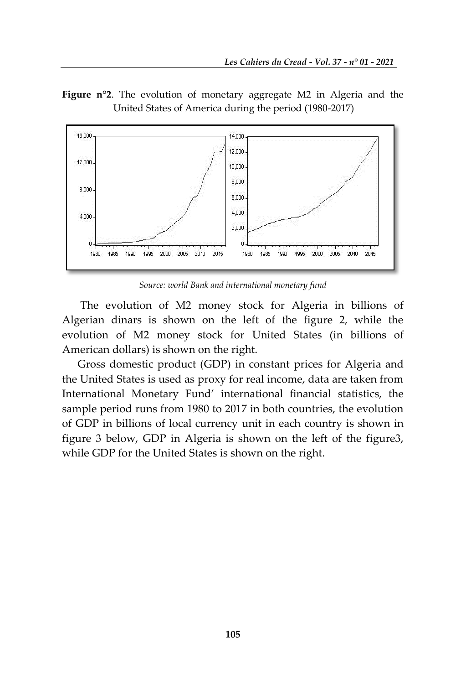**Figure n°2**. The evolution of monetary aggregate M2 in Algeria and the United States of America during the period (1980-2017)



*Source: world Bank and international monetary fund*

The evolution of M2 money stock for Algeria in billions of Algerian dinars is shown on the left of the figure 2, while the evolution of M2 money stock for United States (in billions of American dollars) is shown on the right.

Gross domestic product (GDP) in constant prices for Algeria and the United States is used as proxy for real income, data are taken from International Monetary Fund' international financial statistics, the sample period runs from 1980 to 2017 in both countries, the evolution of GDP in billions of local currency unit in each country is shown in figure 3 below, GDP in Algeria is shown on the left of the figure3, while GDP for the United States is shown on the right.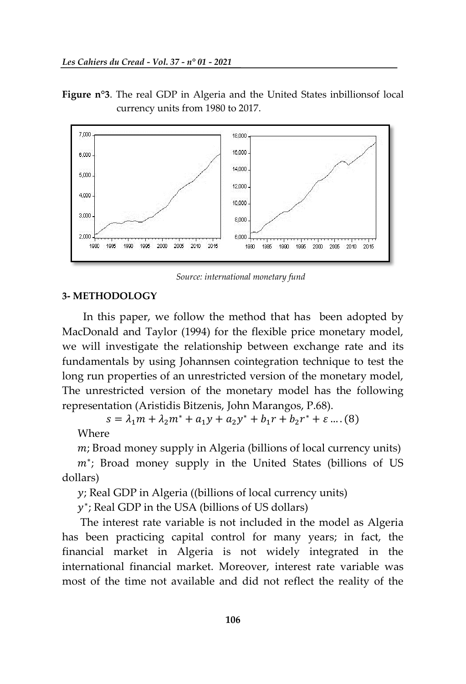**Figure n°3**. The real GDP in Algeria and the United States inbillionsof local currency units from 1980 to 2017.



*Source: international monetary fund*

### **3- METHODOLOGY**

 In this paper, we follow the method that has been adopted by MacDonald and Taylor (1994) for the flexible price monetary model, we will investigate the relationship between exchange rate and its fundamentals by using Johannsen cointegration technique to test the long run properties of an unrestricted version of the monetary model, The unrestricted version of the monetary model has the following representation (Aristidis Bitzenis, John Marangos, P.68).

 $s = \lambda_1 m + \lambda_2 m^* + a_1 y + a_2 y^* + b_1 r + b_2 r^*$ 

Where

 $m$ ; Broad money supply in Algeria (billions of local currency units)

 $m^*$ ; Broad money supply in the United States (billions of US dollars)

 $y$ ; Real GDP in Algeria ((billions of local currency units)

 $y^*$ ; Real GDP in the USA (billions of US dollars)

The interest rate variable is not included in the model as Algeria has been practicing capital control for many years; in fact, the financial market in Algeria is not widely integrated in the international financial market. Moreover, interest rate variable was most of the time not available and did not reflect the reality of the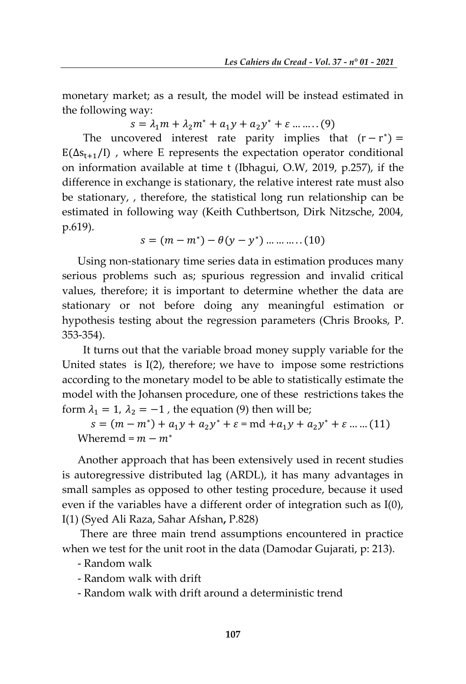monetary market; as a result, the model will be instead estimated in the following way:

 $s = \lambda_1 m + \lambda_2 m^* + a_1 y + a_2 y^*$ 

The uncovered interest rate parity implies that  $(r - r^*)$  $E(\Delta s_{t+1}/I)$ , where E represents the expectation operator conditional on information available at time t (Ibhagui, O.W, 2019, p.257), if the difference in exchange is stationary, the relative interest rate must also be stationary, , therefore, the statistical long run relationship can be estimated in following way (Keith Cuthbertson, Dirk Nitzsche, 2004, p.619).

$$
s = (m - m^*) - \theta(y - y^*) \dots \dots \dots (10)
$$

Using non-stationary time series data in estimation produces many serious problems such as; spurious regression and invalid critical values, therefore; it is important to determine whether the data are stationary or not before doing any meaningful estimation or hypothesis testing about the regression parameters (Chris Brooks, P. 353-354).

 It turns out that the variable broad money supply variable for the United states is I(2), therefore; we have to impose some restrictions according to the monetary model to be able to statistically estimate the model with the Johansen procedure, one of these restrictions takes the form  $\lambda_1 = 1$ ,  $\lambda_2 = -1$ , the equation (9) then will be;

 $s = (m - m^*) + a_1 y + a_2 y^* + \varepsilon = \text{md} + a_1 y + a_2 y^*$ Wheremd =  $m - m^*$ 

Another approach that has been extensively used in recent studies is autoregressive distributed lag (ARDL), it has many advantages in small samples as opposed to other testing procedure, because it used even if the variables have a different order of integration such as I(0), I(1) (Syed Ali Raza, Sahar Afshan**,** P.828)

There are three main trend assumptions encountered in practice when we test for the unit root in the data (Damodar Gujarati, p: 213).

- Random walk
- Random walk with drift
- Random walk with drift around a deterministic trend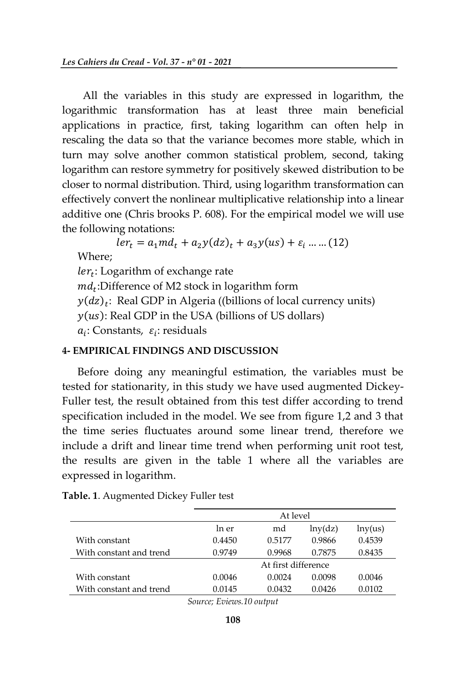All the variables in this study are expressed in logarithm, the logarithmic transformation has at least three main beneficial applications in practice, first, taking logarithm can often help in rescaling the data so that the variance becomes more stable, which in turn may solve another common statistical problem, second, taking logarithm can restore symmetry for positively skewed distribution to be closer to normal distribution. Third, using logarithm transformation can effectively convert the nonlinear multiplicative relationship into a linear additive one (Chris brooks P. 608). For the empirical model we will use the following notations:

 $ler_t = a_1 m d_t + a_2 y (dz)_t + a_3 y (us) + \varepsilon_i$  ... ... (12) Where;  $ler_t$ : Logarithm of exchange rate  $md_t$ :Difference of M2 stock in logarithm form  $y(dz)_t$ : Real GDP in Algeria ((billions of local currency units)  $y(us)$ : Real GDP in the USA (billions of US dollars)  $a_i$ : Constants,  $\varepsilon_i$ : residuals

# **4- EMPIRICAL FINDINGS AND DISCUSSION**

Before doing any meaningful estimation, the variables must be tested for stationarity, in this study we have used augmented Dickey-Fuller test, the result obtained from this test differ according to trend specification included in the model. We see from figure 1,2 and 3 that the time series fluctuates around some linear trend, therefore we include a drift and linear time trend when performing unit root test, the results are given in the table 1 where all the variables are expressed in logarithm.

|                         |        | At level            |         |         |
|-------------------------|--------|---------------------|---------|---------|
|                         | In er  | md                  | lny(dz) | lny(us) |
| With constant           | 0.4450 | 0.5177              | 0.9866  | 0.4539  |
| With constant and trend | 0.9749 | 0.9968              | 0.7875  | 0.8435  |
|                         |        | At first difference |         |         |
| With constant           | 0.0046 | 0.0024              | 0.0098  | 0.0046  |
| With constant and trend | 0.0145 | 0.0432              | 0.0426  | 0.0102  |

| Table. 1. Augmented Dickey Fuller test |  |  |  |
|----------------------------------------|--|--|--|
|----------------------------------------|--|--|--|

*Source; Eviews.10 output*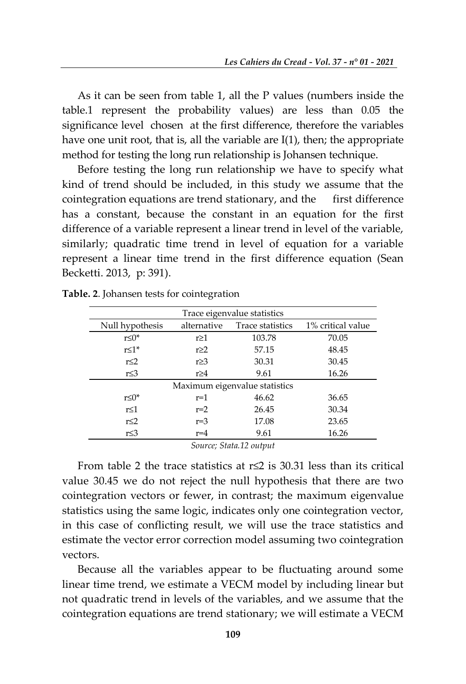As it can be seen from table 1, all the P values (numbers inside the table.1 represent the probability values) are less than 0.05 the significance level chosen at the first difference, therefore the variables have one unit root, that is, all the variable are I(1), then; the appropriate method for testing the long run relationship is Johansen technique.

Before testing the long run relationship we have to specify what kind of trend should be included, in this study we assume that the cointegration equations are trend stationary, and the first difference has a constant, because the constant in an equation for the first difference of a variable represent a linear trend in level of the variable, similarly; quadratic time trend in level of equation for a variable represent a linear time trend in the first difference equation (Sean Becketti. 2013, p: 391).

| Trace eigenvalue statistics |                               |       |                   |  |  |  |
|-----------------------------|-------------------------------|-------|-------------------|--|--|--|
| Null hypothesis             | alternative                   |       | 1% critical value |  |  |  |
| $r \leq 0^*$                | $r \geq 1$                    |       | 70.05             |  |  |  |
| $r \leq 1$ *                | $r \geq 2$                    |       | 48.45             |  |  |  |
| $r \leq 2$<br>$r \geq 3$    |                               | 30.31 | 30.45             |  |  |  |
| r≤3<br>$r \geq 4$           |                               | 9.61  | 16.26             |  |  |  |
|                             | Maximum eigenvalue statistics |       |                   |  |  |  |
| r≤0*                        | $r=1$                         | 46.62 | 36.65             |  |  |  |
| r≤1                         | $r=2$                         | 26.45 | 30.34             |  |  |  |
| $r \leq 2$                  | $r=3$                         | 17.08 | 23.65             |  |  |  |
| r≤3                         | $r=4$                         | 9.61  | 16.26             |  |  |  |

**Table. 2**. Johansen tests for cointegration

*Source; Stata.12 output*

From table 2 the trace statistics at r≤2 is 30.31 less than its critical value 30.45 we do not reject the null hypothesis that there are two cointegration vectors or fewer, in contrast; the maximum eigenvalue statistics using the same logic, indicates only one cointegration vector, in this case of conflicting result, we will use the trace statistics and estimate the vector error correction model assuming two cointegration vectors.

Because all the variables appear to be fluctuating around some linear time trend, we estimate a VECM model by including linear but not quadratic trend in levels of the variables, and we assume that the cointegration equations are trend stationary; we will estimate a VECM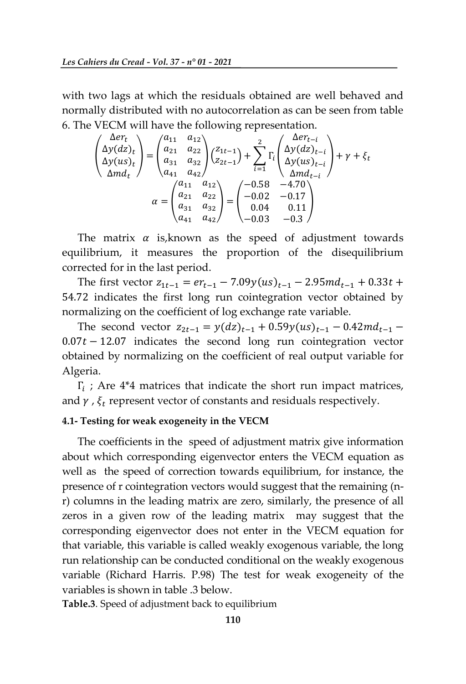with two lags at which the residuals obtained are well behaved and normally distributed with no autocorrelation as can be seen from table 6. The VECM will have the following representation.

$$
\begin{pmatrix}\n\Delta er_t \\
\Delta y(dz)_t \\
\Delta y(uz)_t \\
\Delta md_t\n\end{pmatrix} = \begin{pmatrix}\na_{11} & a_{12} \\
a_{21} & a_{22} \\
a_{31} & a_{32} \\
a_{41} & a_{42}\n\end{pmatrix} \begin{pmatrix}\nz_{1t-1} \\
z_{2t-1}\n\end{pmatrix} + \sum_{i=1}^2 \Gamma_i \begin{pmatrix}\n\Delta er_{t-i} \\
\Delta y(dz)_{t-i} \\
\Delta y(lx)_{t-i}\n\end{pmatrix} + \gamma + \xi_t
$$
\n
$$
\alpha = \begin{pmatrix}\na_{11} & a_{12} \\
a_{21} & a_{22} \\
a_{31} & a_{32} \\
a_{41} & a_{42}\n\end{pmatrix} = \begin{pmatrix}\n-0.58 & -4.70 \\
-0.02 & -0.17 \\
0.04 & 0.11 \\
-0.03 & -0.3\n\end{pmatrix}
$$

The matrix  $\alpha$  is, known as the speed of adjustment towards equilibrium, it measures the proportion of the disequilibrium corrected for in the last period.

The first vector  $z_{1t-1} = er_{t-1} - 7.09y(us)_{t-1} - 2.95md_{t-1} + 0.33t +$ 54.72 indicates the first long run cointegration vector obtained by normalizing on the coefficient of log exchange rate variable.

The second vector  $z_{2t-1} = y(dz)_{t-1} + 0.59y(us)_{t-1} - 0.42md_{t-1}$  $0.07t - 12.07$  indicates the second long run cointegration vector obtained by normalizing on the coefficient of real output variable for Algeria.

 $\Gamma_i$ ; Are 4\*4 matrices that indicate the short run impact matrices, and  $\gamma$  ,  $\xi_t$  represent vector of constants and residuals respectively.

#### **4.1- Testing for weak exogeneity in the VECM**

The coefficients in the speed of adjustment matrix give information about which corresponding eigenvector enters the VECM equation as well as the speed of correction towards equilibrium, for instance, the presence of r cointegration vectors would suggest that the remaining (nr) columns in the leading matrix are zero, similarly, the presence of all zeros in a given row of the leading matrix may suggest that the corresponding eigenvector does not enter in the VECM equation for that variable, this variable is called weakly exogenous variable, the long run relationship can be conducted conditional on the weakly exogenous variable (Richard Harris. P.98) The test for weak exogeneity of the variables is shown in table .3 below.

**Table.3**. Speed of adjustment back to equilibrium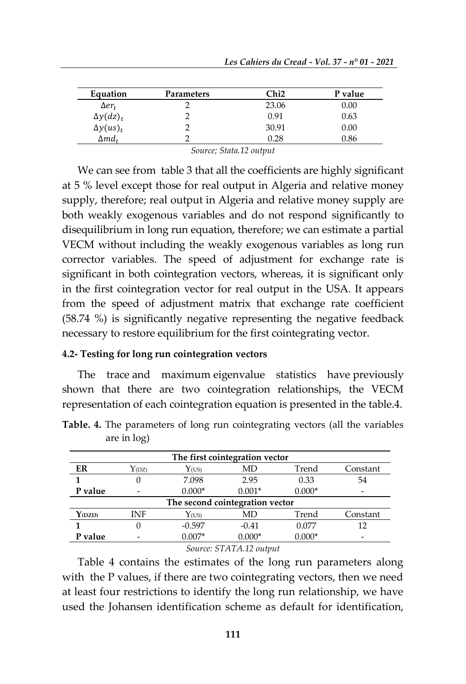| Equation           | Parameters | ∑hi2  | P value |
|--------------------|------------|-------|---------|
| $\Delta er_t$      |            | 23.06 | 0.00    |
| $\Delta y(dz)_{t}$ |            | 0.91  | 0.63    |
| $\Delta y (us)_t$  |            | 30.91 | 0.00    |
| $\Delta m d_t$     |            | 0.28  | 0.86    |

*Source; Stata.12 output*

We can see from table 3 that all the coefficients are highly significant at 5 % level except those for real output in Algeria and relative money supply, therefore; real output in Algeria and relative money supply are both weakly exogenous variables and do not respond significantly to disequilibrium in long run equation, therefore; we can estimate a partial VECM without including the weakly exogenous variables as long run corrector variables. The speed of adjustment for exchange rate is significant in both cointegration vectors, whereas, it is significant only in the first cointegration vector for real output in the USA. It appears from the speed of adjustment matrix that exchange rate coefficient (58.74 %) is significantly negative representing the negative feedback necessary to restore equilibrium for the first cointegrating vector.

#### **4.2- Testing for long run cointegration vectors**

The trace and maximum eigenvalue statistics have previously shown that there are two cointegration relationships, the VECM representation of each cointegration equation is presented in the table.4.

| The first cointegration vector  |                   |                     |          |          |          |
|---------------------------------|-------------------|---------------------|----------|----------|----------|
| ER                              | Y <sub>(DZ)</sub> | $Y$ <sub>(US)</sub> | MD       | Trend    | Constant |
|                                 | $\theta$          | 7.098               | 2.95     | 0.33     | 54       |
| P value                         |                   | $0.000*$            | $0.001*$ | $0.000*$ | -        |
| The second cointegration vector |                   |                     |          |          |          |
| Y <sub>(DZD)</sub>              | INF               | $Y$ <sub>(US)</sub> | MD       | Trend    | Constant |
|                                 | 0                 | $-0.597$            | $-0.41$  | 0.077    | 12       |
| P value                         |                   | $0.007*$            | $0.000*$ | $0.000*$ | -        |

**Table. 4.** The parameters of long run cointegrating vectors (all the variables are in log)

#### *Source: STATA.12 output*

Table 4 contains the estimates of the long run parameters along with the P values, if there are two cointegrating vectors, then we need at least four restrictions to identify the long run relationship, we have used the Johansen identification scheme as default for identification,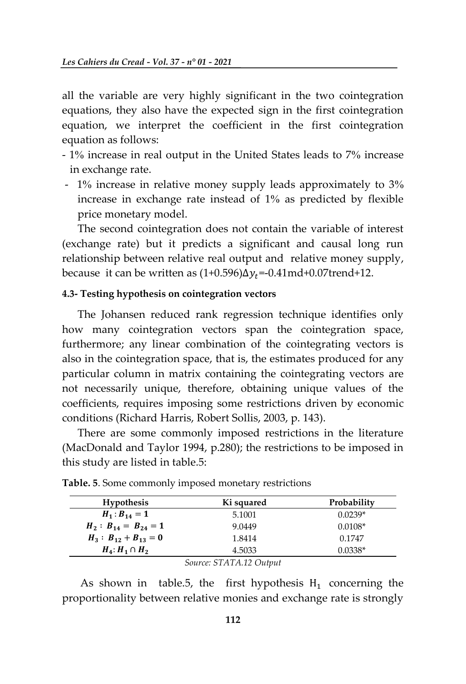all the variable are very highly significant in the two cointegration equations, they also have the expected sign in the first cointegration equation, we interpret the coefficient in the first cointegration equation as follows:

- 1% increase in real output in the United States leads to 7% increase in exchange rate.
- 1% increase in relative money supply leads approximately to 3% increase in exchange rate instead of 1% as predicted by flexible price monetary model.

The second cointegration does not contain the variable of interest (exchange rate) but it predicts a significant and causal long run relationship between relative real output and relative money supply, because it can be written as  $(1+0.596)\Delta y_t = -0.41 \text{md} + 0.07 \text{trend} + 12$ .

#### **4.3- Testing hypothesis on cointegration vectors**

The Johansen reduced rank regression technique identifies only how many cointegration vectors span the cointegration space, furthermore; any linear combination of the cointegrating vectors is also in the cointegration space, that is, the estimates produced for any particular column in matrix containing the cointegrating vectors are not necessarily unique, therefore, obtaining unique values of the coefficients, requires imposing some restrictions driven by economic conditions (Richard Harris, Robert Sollis, 2003, p. 143).

There are some commonly imposed restrictions in the literature (MacDonald and Taylor 1994, p.280); the restrictions to be imposed in this study are listed in table.5:

| <b>Hypothesis</b>          | Ki squared | Probability |  |  |
|----------------------------|------------|-------------|--|--|
| $H_1: B_{14} = 1$          | 5.1001     | $0.0239*$   |  |  |
| $H_2: B_{14} = B_{24} = 1$ | 9.0449     | $0.0108*$   |  |  |
| $H_3: B_{12} + B_{13} = 0$ | 1.8414     | 0.1747      |  |  |
| $H_4$ : $H_1 \cap H_2$     | 4.5033     | $0.0338*$   |  |  |
| Source: STATA.12 Output    |            |             |  |  |

|  |  | <b>Table. 5.</b> Some commonly imposed monetary restrictions |  |  |  |  |
|--|--|--------------------------------------------------------------|--|--|--|--|
|  |  |                                                              |  |  |  |  |

As shown in table.5, the first hypothesis  $H_1$  concerning the proportionality between relative monies and exchange rate is strongly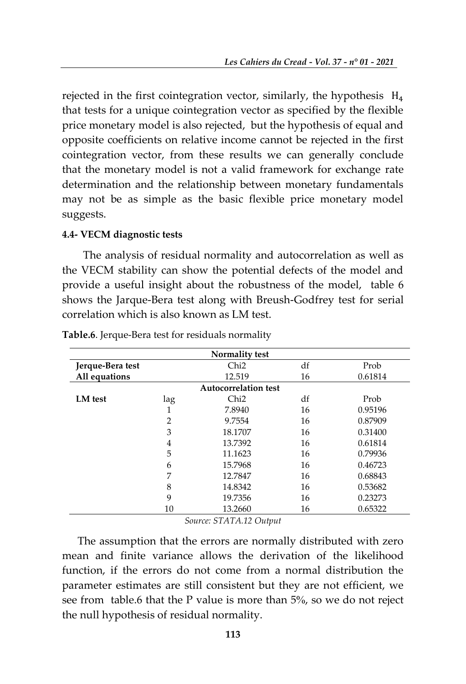rejected in the first cointegration vector, similarly, the hypothesis  $H_4$ that tests for a unique cointegration vector as specified by the flexible price monetary model is also rejected, but the hypothesis of equal and opposite coefficients on relative income cannot be rejected in the first cointegration vector, from these results we can generally conclude that the monetary model is not a valid framework for exchange rate determination and the relationship between monetary fundamentals may not be as simple as the basic flexible price monetary model suggests.

#### **4.4- VECM diagnostic tests**

 The analysis of residual normality and autocorrelation as well as the VECM stability can show the potential defects of the model and provide a useful insight about the robustness of the model, table 6 shows the Jarque-Bera test along with Breush-Godfrey test for serial correlation which is also known as LM test.

|                  |                | <b>Normality test</b>       |    |         |
|------------------|----------------|-----------------------------|----|---------|
| Jerque-Bera test |                | Chi <sub>2</sub>            | df | Prob    |
| All equations    |                | 12.519                      | 16 | 0.61814 |
|                  |                | <b>Autocorrelation test</b> |    |         |
| LM test          | lag            | Chi <sub>2</sub>            | df | Prob    |
|                  | 1              | 7.8940                      | 16 | 0.95196 |
|                  | $\overline{2}$ | 9.7554                      | 16 | 0.87909 |
|                  | 3              | 18.1707                     | 16 | 0.31400 |
|                  | $\overline{4}$ | 13.7392                     | 16 | 0.61814 |
|                  | 5              | 11.1623                     | 16 | 0.79936 |
|                  | 6              | 15.7968                     | 16 | 0.46723 |
|                  | 7              | 12.7847                     | 16 | 0.68843 |
|                  | 8              | 14.8342                     | 16 | 0.53682 |
|                  | 9              | 19.7356                     | 16 | 0.23273 |
|                  | 10             | 13.2660                     | 16 | 0.65322 |
|                  | $\sqrt{2}$     |                             |    |         |

**Table.6**. Jerque-Bera test for residuals normality

*Source: STATA.12 Output*

The assumption that the errors are normally distributed with zero mean and finite variance allows the derivation of the likelihood function, if the errors do not come from a normal distribution the parameter estimates are still consistent but they are not efficient, we see from table.6 that the P value is more than 5%, so we do not reject the null hypothesis of residual normality.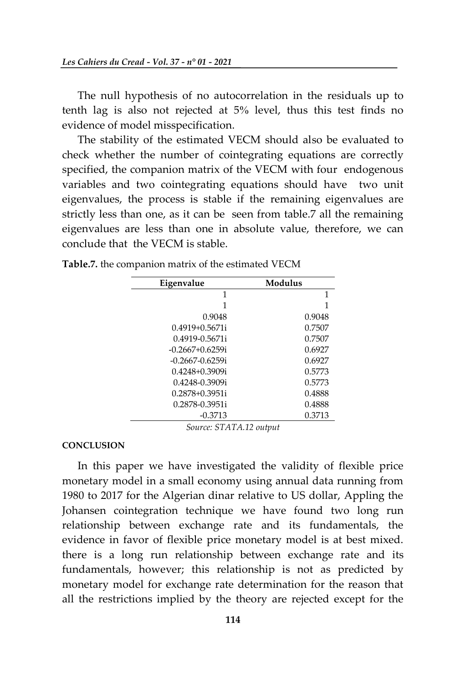The null hypothesis of no autocorrelation in the residuals up to tenth lag is also not rejected at 5% level, thus this test finds no evidence of model misspecification.

The stability of the estimated VECM should also be evaluated to check whether the number of cointegrating equations are correctly specified, the companion matrix of the VECM with four endogenous variables and two cointegrating equations should have two unit eigenvalues, the process is stable if the remaining eigenvalues are strictly less than one, as it can be seen from table.7 all the remaining eigenvalues are less than one in absolute value, therefore, we can conclude that the VECM is stable.

| Eigenvalue           | Modulus |
|----------------------|---------|
| 1                    | 1       |
| 1                    | 1       |
| 0.9048               | 0.9048  |
| $0.4919 + 0.5671i$   | 0.7507  |
| 0.4919-0.5671i       | 0.7507  |
| $-0.2667+0.6259$ i   | 0.6927  |
| $-0.2667 - 0.6259$ i | 0.6927  |
| $0.4248 + 0.3909i$   | 0.5773  |
| 0.4248-0.3909i       | 0.5773  |
| $0.2878 + 0.3951i$   | 0.4888  |
| 0.2878-0.3951i       | 0.4888  |
| $-0.3713$            | 0.3713  |

**Table.7.** the companion matrix of the estimated VECM

*Source: STATA.12 output*

#### **CONCLUSION**

In this paper we have investigated the validity of flexible price monetary model in a small economy using annual data running from 1980 to 2017 for the Algerian dinar relative to US dollar, Appling the Johansen cointegration technique we have found two long run relationship between exchange rate and its fundamentals, the evidence in favor of flexible price monetary model is at best mixed. there is a long run relationship between exchange rate and its fundamentals, however; this relationship is not as predicted by monetary model for exchange rate determination for the reason that all the restrictions implied by the theory are rejected except for the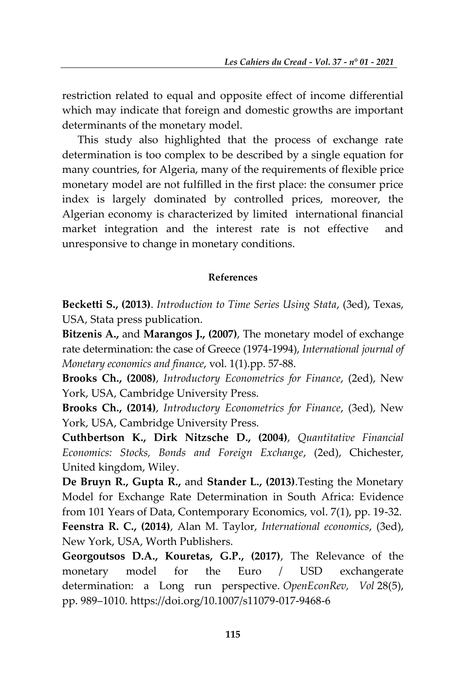restriction related to equal and opposite effect of income differential which may indicate that foreign and domestic growths are important determinants of the monetary model.

This study also highlighted that the process of exchange rate determination is too complex to be described by a single equation for many countries, for Algeria, many of the requirements of flexible price monetary model are not fulfilled in the first place: the consumer price index is largely dominated by controlled prices, moreover, the Algerian economy is characterized by limited international financial market integration and the interest rate is not effective and unresponsive to change in monetary conditions.

# **References**

**Becketti S., (2013)**. *Introduction to Time Series Using Stata*, (3ed), Texas, USA, Stata press publication.

**Bitzenis A.,** and **Marangos J., (2007)**, The monetary model of exchange rate determination: the case of Greece (1974-1994), *International journal of Monetary economics and finance*, vol. 1(1).pp. 57-88.

**Brooks Ch., (2008)**, *Introductory Econometrics for Finance*, (2ed), New York, USA, Cambridge University Press.

**Brooks Ch., (2014)**, *Introductory Econometrics for Finance*, (3ed), New York, USA, Cambridge University Press.

**Cuthbertson K., Dirk Nitzsche D., (2004)**, *Quantitative Financial Economics: Stocks, Bonds and Foreign Exchange*, (2ed), Chichester, United kingdom, Wiley.

**De Bruyn R., Gupta R.,** and **Stander L., (2013)**.Testing the Monetary Model for Exchange Rate Determination in South Africa: Evidence from 101 Years of Data, Contemporary Economics, vol. 7(1), pp. 19-32. **Feenstra R. C., (2014)**, Alan M. Taylor, *International economics*, (3ed), New York, USA, Worth Publishers.

**Georgoutsos D.A., Kouretas, G.P., (2017)**, The Relevance of the monetary model for the Euro / USD exchangerate determination: a Long run perspective. *OpenEconRev, Vol* 28(5), pp. 989–1010[. https://doi.org/10.1007/s11079-017-9468-6](https://doi.org/10.1007/s11079-017-9468-6)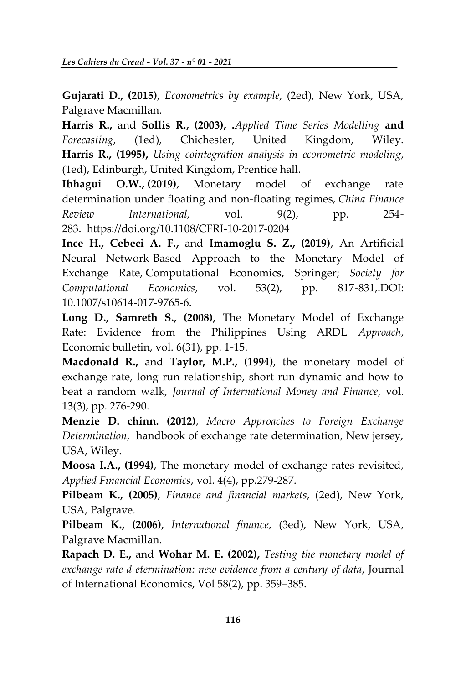**Gujarati D., (2015)**, *Econometrics by example*, (2ed), New York, USA, Palgrave Macmillan.

**Harris R.,** and **Sollis R., (2003), .***Applied Time Series Modelling* **and** *Forecasting*, (1ed), Chichester, United Kingdom, Wiley. **Harris R., (1995),** *Using cointegration analysis in econometric modeling*, (1ed), Edinburgh, United Kingdom, Prentice hall.

**[Ibhagui O.W.,](https://www.emerald.com/insight/search?q=Oyakhilome%20Wallace%20Ibhagui) (2019)**, Monetary model of exchange rate determination under floating and non-floating regimes, *[China Finance](https://www.emerald.com/insight/publication/issn/2044-1398)  [Review International](https://www.emerald.com/insight/publication/issn/2044-1398)*, vol. 9(2), pp. 254- 283. <https://doi.org/10.1108/CFRI-10-2017-0204>

**Ince H., Cebeci A. F.,** and **Imamoglu S. Z., (2019)**, [An Artificial](https://ideas.repec.org/a/kap/compec/v53y2019i2d10.1007_s10614-017-9765-6.html)  [Neural Network-Based Approach to the Monetary Model of](https://ideas.repec.org/a/kap/compec/v53y2019i2d10.1007_s10614-017-9765-6.html)  [Exchange Rate,](https://ideas.repec.org/a/kap/compec/v53y2019i2d10.1007_s10614-017-9765-6.html) [Computational Economics,](https://ideas.repec.org/s/kap/compec.html) Springer; *Society for Computational Economics*, vol. 53(2), pp. 817-831,.DOI: 10.1007/s10614-017-9765-6.

**Long D., Samreth S., (2008),** The Monetary Model of Exchange Rate: Evidence from the Philippines Using ARDL *Approach*, Economic bulletin, vol. 6(31), pp. 1-15.

**Macdonald R.,** and **Taylor, M.P., (1994)**, the monetary model of exchange rate, long run relationship, short run dynamic and how to beat a random walk, *Journal of International Money and Finance*, vol. 13(3), pp. 276-290.

**Menzie D. chinn. (2012)**, *Macro Approaches to Foreign Exchange Determination*, handbook of exchange rate determination, New jersey, USA, Wiley.

**Moosa I.A., (1994)**, The monetary model of exchange rates revisited*, Applied Financial Economics*, vol. 4(4), pp.279-287.

**Pilbeam K., (2005)**, *Finance and financial markets*, (2ed), New York, USA, Palgrave.

**Pilbeam K., (2006)**, *International finance*, (3ed), New York, USA, Palgrave Macmillan.

**Rapach D. E.,** and **Wohar M. E. (2002),** *Testing the monetary model of exchange rate d etermination: new evidence from a century of data*, Journal of International Economics, Vol 58(2), pp. 359–385.